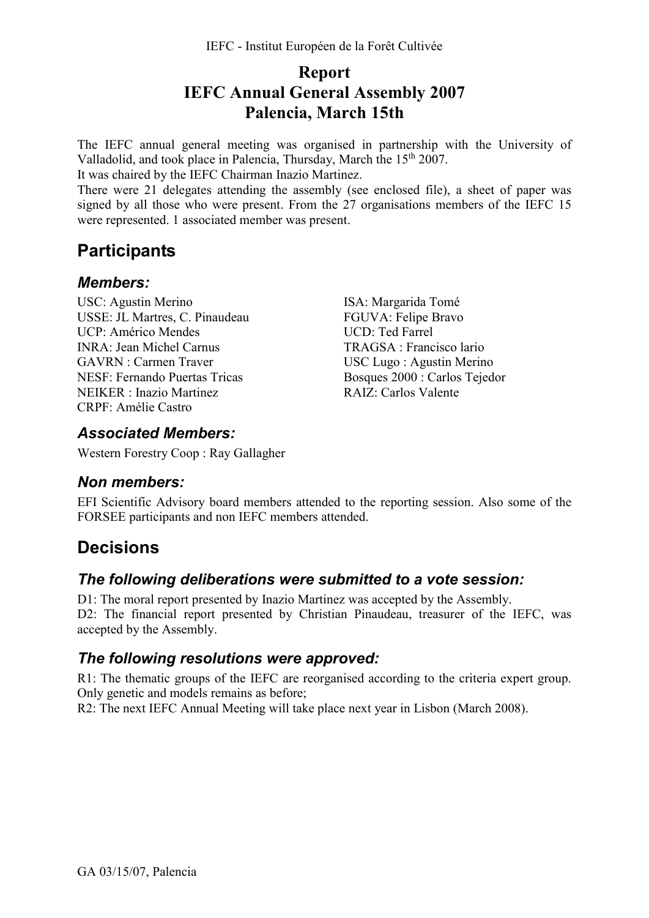## **Report IEFC Annual General Assembly 2007 Palencia, March 15th**

The IEFC annual general meeting was organised in partnership with the University of Valladolid, and took place in Palencia, Thursday, March the 15<sup>th</sup> 2007.

It was chaired by the IEFC Chairman Inazio Martinez.

There were 21 delegates attending the assembly (see enclosed file), a sheet of paper was signed by all those who were present. From the 27 organisations members of the IEFC 15 were represented. 1 associated member was present.

# **Participants**

#### *Members:*

USC: Agustin Merino USSE: JL Martres, C. Pinaudeau UCP: Américo Mendes INRA: Jean Michel Carnus GAVRN : Carmen Traver NESF: Fernando Puertas Tricas NEIKER : Inazio Martinez CRPF: Amélie Castro

ISA: Margarida Tomé FGUVA: Felipe Bravo UCD: Ted Farrel TRAGSA : Francisco lario USC Lugo : Agustin Merino Bosques 2000 : Carlos Tejedor RAIZ: Carlos Valente

#### *Associated Members:*

Western Forestry Coop : Ray Gallagher

#### *Non members:*

EFI Scientific Advisory board members attended to the reporting session. Also some of the FORSEE participants and non IEFC members attended.

## **Decisions**

### *The following deliberations were submitted to a vote session:*

D1: The moral report presented by Inazio Martinez was accepted by the Assembly. D2: The financial report presented by Christian Pinaudeau, treasurer of the IEFC, was accepted by the Assembly.

#### *The following resolutions were approved:*

R1: The thematic groups of the IEFC are reorganised according to the criteria expert group. Only genetic and models remains as before;

R2: The next IEFC Annual Meeting will take place next year in Lisbon (March 2008).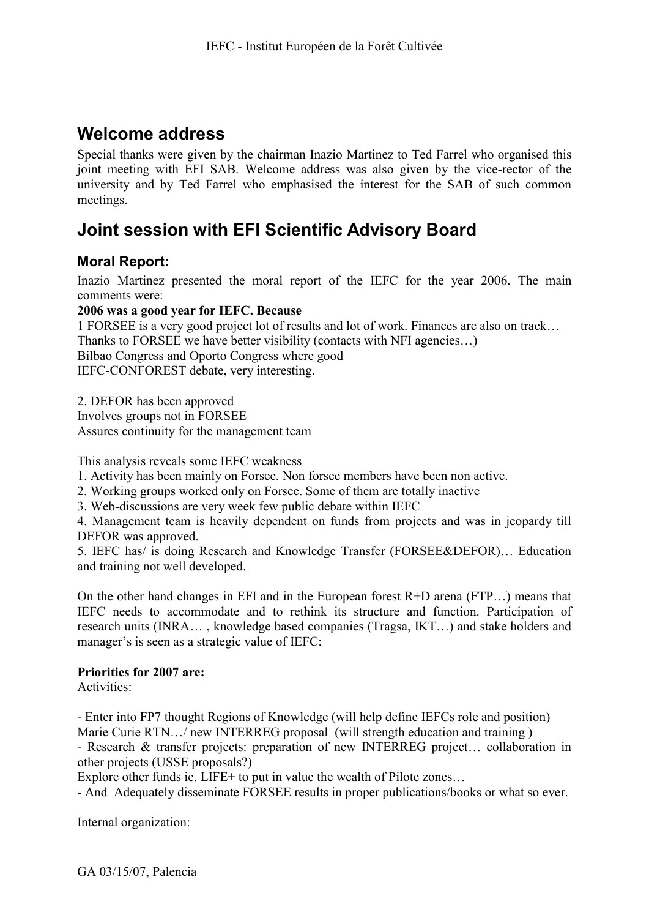## **Welcome address**

Special thanks were given by the chairman Inazio Martinez to Ted Farrel who organised this joint meeting with EFI SAB. Welcome address was also given by the vice-rector of the university and by Ted Farrel who emphasised the interest for the SAB of such common meetings.

# **Joint session with EFI Scientific Advisory Board**

#### **Moral Report:**

Inazio Martinez presented the moral report of the IEFC for the year 2006. The main comments were:

#### **2006 was a good year for IEFC. Because**

1 FORSEE is a very good project lot of results and lot of work. Finances are also on track… Thanks to FORSEE we have better visibility (contacts with NFI agencies…) Bilbao Congress and Oporto Congress where good IEFC-CONFOREST debate, very interesting.

2. DEFOR has been approved Involves groups not in FORSEE Assures continuity for the management team

This analysis reveals some IEFC weakness

- 1. Activity has been mainly on Forsee. Non forsee members have been non active.
- 2. Working groups worked only on Forsee. Some of them are totally inactive
- 3. Web-discussions are very week few public debate within IEFC

4. Management team is heavily dependent on funds from projects and was in jeopardy till DEFOR was approved.

5. IEFC has/ is doing Research and Knowledge Transfer (FORSEE&DEFOR)… Education and training not well developed.

On the other hand changes in EFI and in the European forest  $R+D$  arena (FTP...) means that IEFC needs to accommodate and to rethink its structure and function. Participation of research units (INRA… , knowledge based companies (Tragsa, IKT…) and stake holders and manager's is seen as a strategic value of IEFC:

### **Priorities for 2007 are:**

Activities:

- Enter into FP7 thought Regions of Knowledge (will help define IEFCs role and position) Marie Curie RTN.../ new INTERREG proposal (will strength education and training)

- Research & transfer projects: preparation of new INTERREG project… collaboration in other projects (USSE proposals?)

Explore other funds ie. LIFE+ to put in value the wealth of Pilote zones...

- And Adequately disseminate FORSEE results in proper publications/books or what so ever.

Internal organization: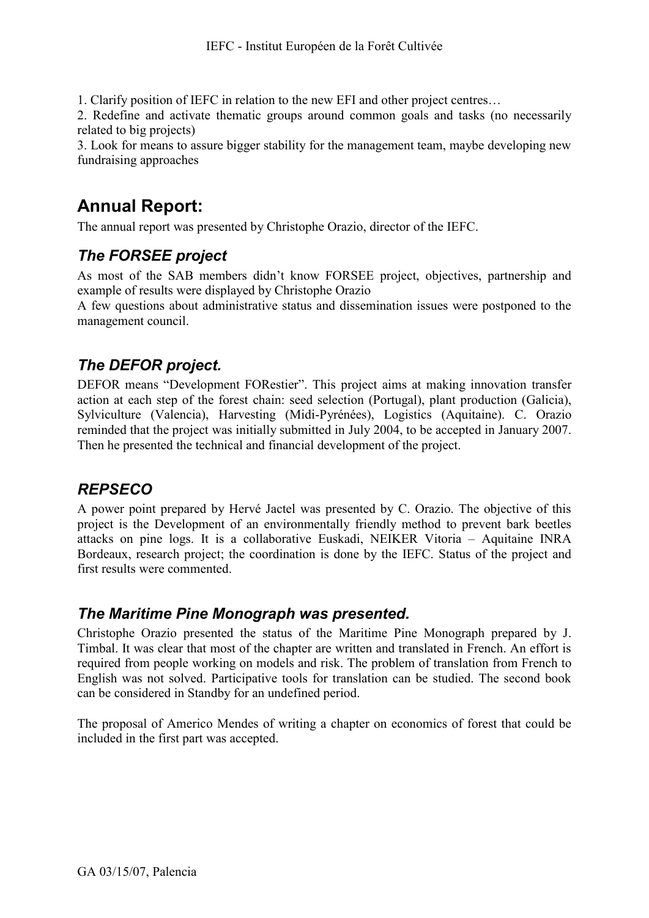1. Clarify position of IEFC in relation to the new EFI and other project centres…

2. Redefine and activate thematic groups around common goals and tasks (no necessarily related to big projects)

3. Look for means to assure bigger stability for the management team, maybe developing new fundraising approaches

# **Annual Report:**

The annual report was presented by Christophe Orazio, director of the IEFC.

## *The FORSEE project*

As most of the SAB members didn't know FORSEE project, objectives, partnership and example of results were displayed by Christophe Orazio

A few questions about administrative status and dissemination issues were postponed to the management council.

## *The DEFOR project.*

DEFOR means "Development FORestier". This project aims at making innovation transfer action at each step of the forest chain: seed selection (Portugal), plant production (Galicia), Sylviculture (Valencia), Harvesting (Midi-Pyrénées), Logistics (Aquitaine). C. Orazio reminded that the project was initially submitted in July 2004, to be accepted in January 2007. Then he presented the technical and financial development of the project.

## *REPSECO*

A power point prepared by Hervé Jactel was presented by C. Orazio. The objective of this project is the Development of an environmentally friendly method to prevent bark beetles attacks on pine logs. It is a collaborative Euskadi, NEIKER Vitoria – Aquitaine INRA Bordeaux, research project; the coordination is done by the IEFC. Status of the project and first results were commented.

### *The Maritime Pine Monograph was presented.*

Christophe Orazio presented the status of the Maritime Pine Monograph prepared by J. Timbal. It was clear that most of the chapter are written and translated in French. An effort is required from people working on models and risk. The problem of translation from French to English was not solved. Participative tools for translation can be studied. The second book can be considered in Standby for an undefined period.

The proposal of Americo Mendes of writing a chapter on economics of forest that could be included in the first part was accepted.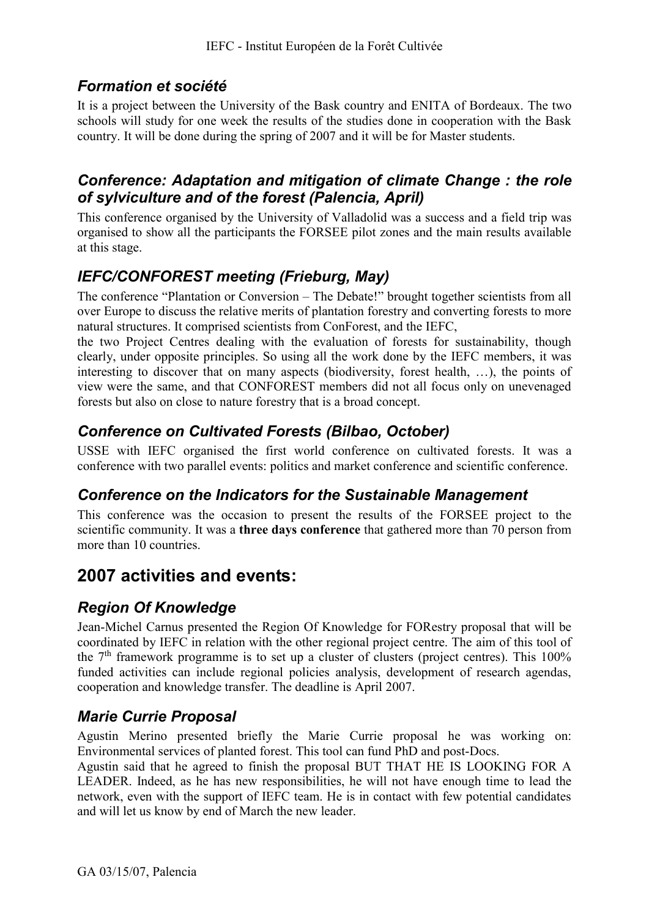## *Formation et société*

It is a project between the University of the Bask country and ENITA of Bordeaux. The two schools will study for one week the results of the studies done in cooperation with the Bask country. It will be done during the spring of 2007 and it will be for Master students.

#### *Conference: Adaptation and mitigation of climate Change : the role of sylviculture and of the forest (Palencia, April)*

This conference organised by the University of Valladolid was a success and a field trip was organised to show all the participants the FORSEE pilot zones and the main results available at this stage.

## *IEFC/CONFOREST meeting (Frieburg, May)*

The conference "Plantation or Conversion – The Debate!" brought together scientists from all over Europe to discuss the relative merits of plantation forestry and converting forests to more natural structures. It comprised scientists from ConForest, and the IEFC,

the two Project Centres dealing with the evaluation of forests for sustainability, though clearly, under opposite principles. So using all the work done by the IEFC members, it was interesting to discover that on many aspects (biodiversity, forest health, …), the points of view were the same, and that CONFOREST members did not all focus only on unevenaged forests but also on close to nature forestry that is a broad concept.

## *Conference on Cultivated Forests (Bilbao, October)*

USSE with IEFC organised the first world conference on cultivated forests. It was a conference with two parallel events: politics and market conference and scientific conference.

### *Conference on the Indicators for the Sustainable Management*

This conference was the occasion to present the results of the FORSEE project to the scientific community. It was a **three days conference** that gathered more than 70 person from more than 10 countries.

## **2007 activities and events:**

## *Region Of Knowledge*

Jean-Michel Carnus presented the Region Of Knowledge for FORestry proposal that will be coordinated by IEFC in relation with the other regional project centre. The aim of this tool of the  $7<sup>th</sup>$  framework programme is to set up a cluster of clusters (project centres). This 100% funded activities can include regional policies analysis, development of research agendas, cooperation and knowledge transfer. The deadline is April 2007.

## *Marie Currie Proposal*

Agustin Merino presented briefly the Marie Currie proposal he was working on: Environmental services of planted forest. This tool can fund PhD and post-Docs.

Agustin said that he agreed to finish the proposal BUT THAT HE IS LOOKING FOR A LEADER. Indeed, as he has new responsibilities, he will not have enough time to lead the network, even with the support of IEFC team. He is in contact with few potential candidates and will let us know by end of March the new leader.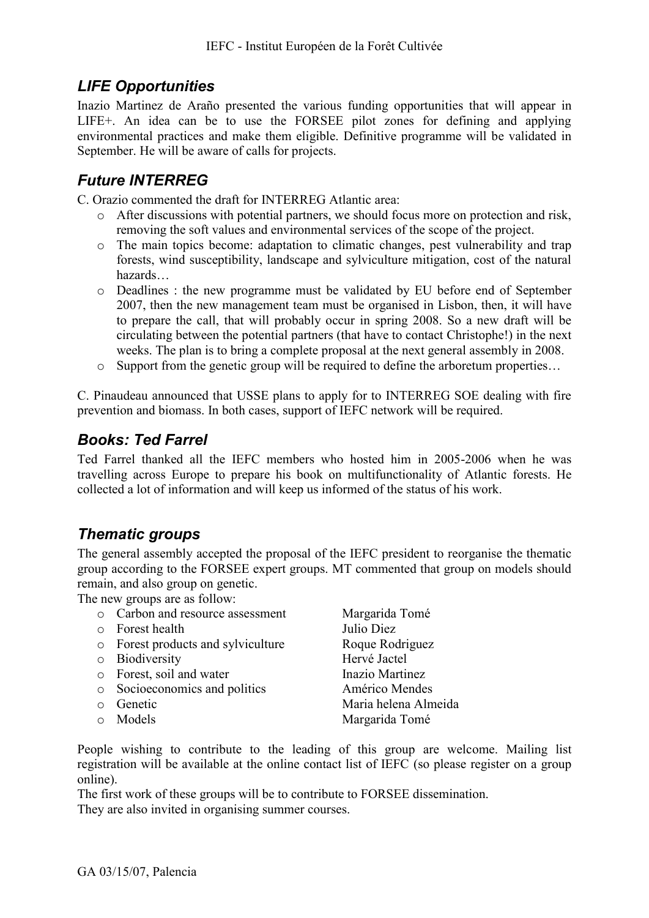## *LIFE Opportunities*

Inazio Martinez de Araño presented the various funding opportunities that will appear in LIFE+. An idea can be to use the FORSEE pilot zones for defining and applying environmental practices and make them eligible. Definitive programme will be validated in September. He will be aware of calls for projects.

## *Future INTERREG*

C. Orazio commented the draft for INTERREG Atlantic area:

- o After discussions with potential partners, we should focus more on protection and risk, removing the soft values and environmental services of the scope of the project.
- o The main topics become: adaptation to climatic changes, pest vulnerability and trap forests, wind susceptibility, landscape and sylviculture mitigation, cost of the natural hazards…
- o Deadlines : the new programme must be validated by EU before end of September 2007, then the new management team must be organised in Lisbon, then, it will have to prepare the call, that will probably occur in spring 2008. So a new draft will be circulating between the potential partners (that have to contact Christophe!) in the next weeks. The plan is to bring a complete proposal at the next general assembly in 2008.
- o Support from the genetic group will be required to define the arboretum properties…

C. Pinaudeau announced that USSE plans to apply for to INTERREG SOE dealing with fire prevention and biomass. In both cases, support of IEFC network will be required.

### *Books: Ted Farrel*

Ted Farrel thanked all the IEFC members who hosted him in 2005-2006 when he was travelling across Europe to prepare his book on multifunctionality of Atlantic forests. He collected a lot of information and will keep us informed of the status of his work.

### *Thematic groups*

The general assembly accepted the proposal of the IEFC president to reorganise the thematic group according to the FORSEE expert groups. MT commented that group on models should remain, and also group on genetic.

The new groups are as follow:

- o Carbon and resource assessment Margarida Tomé
- o Forest health Julio Diez
- o Forest products and sylviculture Roque Rodriguez
- o Biodiversity Hervé Jactel
- o Forest, soil and water Inazio Martinez
- o Socioeconomics and politics Américo Mendes
- 
- 

o Genetic Maria helena Almeida o Models Margarida Tomé

People wishing to contribute to the leading of this group are welcome. Mailing list registration will be available at the online contact list of IEFC (so please register on a group online).

The first work of these groups will be to contribute to FORSEE dissemination. They are also invited in organising summer courses.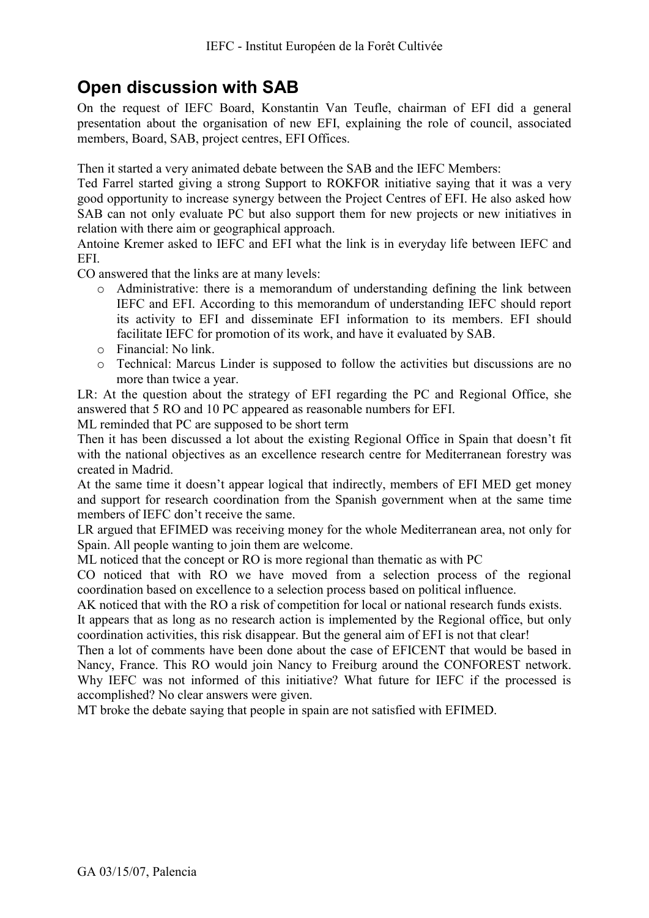# **Open discussion with SAB**

On the request of IEFC Board, Konstantin Van Teufle, chairman of EFI did a general presentation about the organisation of new EFI, explaining the role of council, associated members, Board, SAB, project centres, EFI Offices.

Then it started a very animated debate between the SAB and the IEFC Members:

Ted Farrel started giving a strong Support to ROKFOR initiative saying that it was a very good opportunity to increase synergy between the Project Centres of EFI. He also asked how SAB can not only evaluate PC but also support them for new projects or new initiatives in relation with there aim or geographical approach.

Antoine Kremer asked to IEFC and EFI what the link is in everyday life between IEFC and EFI.

CO answered that the links are at many levels:

- o Administrative: there is a memorandum of understanding defining the link between IEFC and EFI. According to this memorandum of understanding IEFC should report its activity to EFI and disseminate EFI information to its members. EFI should facilitate IEFC for promotion of its work, and have it evaluated by SAB.
- o Financial: No link.
- o Technical: Marcus Linder is supposed to follow the activities but discussions are no more than twice a year.

LR: At the question about the strategy of EFI regarding the PC and Regional Office, she answered that 5 RO and 10 PC appeared as reasonable numbers for EFI.

ML reminded that PC are supposed to be short term

Then it has been discussed a lot about the existing Regional Office in Spain that doesn't fit with the national objectives as an excellence research centre for Mediterranean forestry was created in Madrid.

At the same time it doesn't appear logical that indirectly, members of EFI MED get money and support for research coordination from the Spanish government when at the same time members of IEFC don't receive the same.

LR argued that EFIMED was receiving money for the whole Mediterranean area, not only for Spain. All people wanting to join them are welcome.

ML noticed that the concept or RO is more regional than thematic as with PC

CO noticed that with RO we have moved from a selection process of the regional coordination based on excellence to a selection process based on political influence.

AK noticed that with the RO a risk of competition for local or national research funds exists.

It appears that as long as no research action is implemented by the Regional office, but only coordination activities, this risk disappear. But the general aim of EFI is not that clear!

Then a lot of comments have been done about the case of EFICENT that would be based in Nancy, France. This RO would join Nancy to Freiburg around the CONFOREST network. Why IEFC was not informed of this initiative? What future for IEFC if the processed is accomplished? No clear answers were given.

MT broke the debate saying that people in spain are not satisfied with EFIMED.